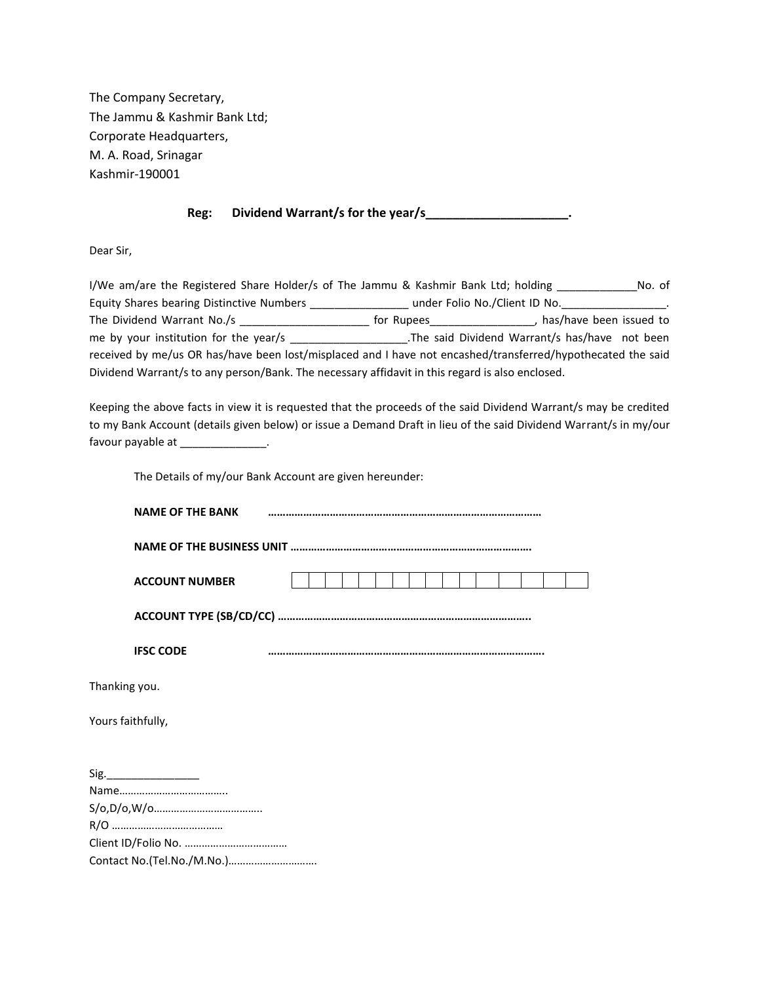The Company Secretary, The Jammu & Kashmir Bank Ltd; Corporate Headquarters, M. A. Road, Srinagar Kashmir-190001

## **Reg: Dividend Warrant/s for the year/s\_\_\_\_\_\_\_\_\_\_\_\_\_\_\_\_\_\_\_\_\_.**

Dear Sir,

I/We am/are the Registered Share Holder/s of The Jammu & Kashmir Bank Ltd; holding \_\_\_\_\_\_\_\_\_\_\_\_\_\_\_No. of Equity Shares bearing Distinctive Numbers \_\_\_\_\_\_\_\_\_\_\_\_\_\_\_\_\_\_ under Folio No./Client ID No.\_\_\_\_\_\_\_\_\_\_\_\_\_\_\_\_\_\_\_ The Dividend Warrant No./s \_\_\_\_\_\_\_\_\_\_\_\_\_\_\_\_\_\_\_\_\_\_\_\_\_\_ for Rupees\_\_\_\_\_\_\_\_\_\_\_\_\_\_\_\_\_, has/have been issued to me by your institution for the year/s \_\_\_\_\_\_\_\_\_\_\_\_\_\_\_\_\_\_\_\_\_\_\_\_\_\_\_\_\_.The said Dividend Warrant/s has/have not been received by me/us OR has/have been lost/misplaced and I have not encashed/transferred/hypothecated the said Dividend Warrant/s to any person/Bank. The necessary affidavit in this regard is also enclosed.

Keeping the above facts in view it is requested that the proceeds of the said Dividend Warrant/s may be credited to my Bank Account (details given below) or issue a Demand Draft in lieu of the said Dividend Warrant/s in my/our favour payable at \_\_\_\_\_\_\_\_\_\_\_\_\_\_.

The Details of my/our Bank Account are given hereunder:

| <b>NAME OF THE BANK</b>    |  |  |  |
|----------------------------|--|--|--|
|                            |  |  |  |
| <b>ACCOUNT NUMBER</b>      |  |  |  |
|                            |  |  |  |
| <b>IFSC CODE</b>           |  |  |  |
| Thanking you.              |  |  |  |
| Yours faithfully,          |  |  |  |
|                            |  |  |  |
|                            |  |  |  |
|                            |  |  |  |
|                            |  |  |  |
| Contact No.(Tel.No./M.No.) |  |  |  |